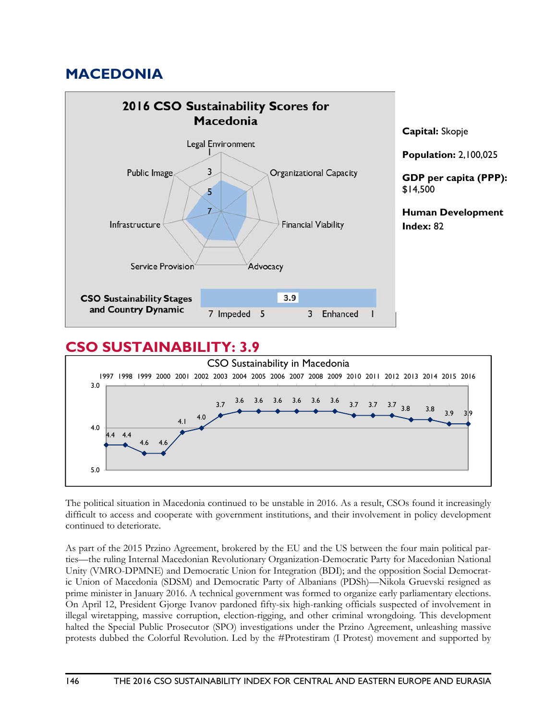## **MACEDONIA**



## **CSO SUSTAINABILITY: 3.9**



The political situation in Macedonia continued to be unstable in 2016. As a result, CSOs found it increasingly difficult to access and cooperate with government institutions, and their involvement in policy development continued to deteriorate.

As part of the 2015 Przino Agreement, brokered by the EU and the US between the four main political parties—the ruling Internal Macedonian Revolutionary Organization-Democratic Party for Macedonian National Unity (VMRO-DPMNE) and Democratic Union for Integration (BDI); and the opposition Social Democratic Union of Macedonia (SDSM) and Democratic Party of Albanians (PDSh)—Nikola Gruevski resigned as prime minister in January 2016. A technical government was formed to organize early parliamentary elections. On April 12, President Gjorge Ivanov pardoned fifty-six high-ranking officials suspected of involvement in illegal wiretapping, massive corruption, election-rigging, and other criminal wrongdoing. This development halted the Special Public Prosecutor (SPO) investigations under the Przino Agreement, unleashing massive protests dubbed the Colorful Revolution. Led by the #Protestiram (I Protest) movement and supported by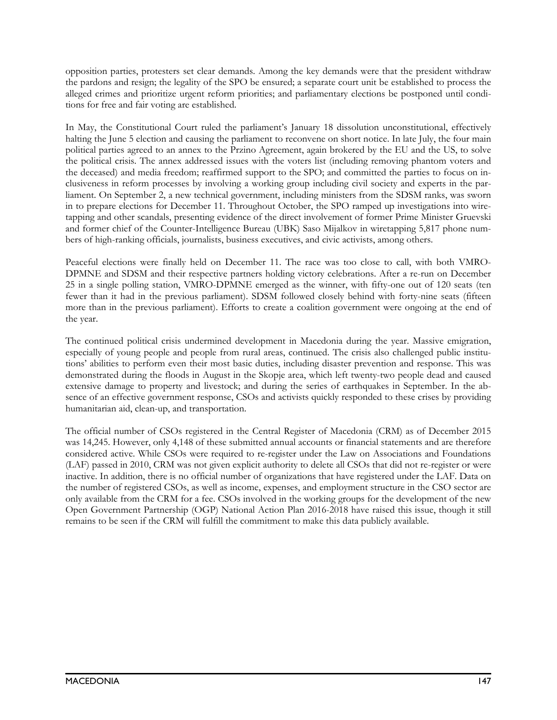opposition parties, protesters set clear demands. Among the key demands were that the president withdraw the pardons and resign; the legality of the SPO be ensured; a separate court unit be established to process the alleged crimes and prioritize urgent reform priorities; and parliamentary elections be postponed until conditions for free and fair voting are established.

In May, the Constitutional Court ruled the parliament's January 18 dissolution unconstitutional, effectively halting the June 5 election and causing the parliament to reconvene on short notice. In late July, the four main political parties agreed to an annex to the Przino Agreement, again brokered by the EU and the US, to solve the political crisis. The annex addressed issues with the voters list (including removing phantom voters and the deceased) and media freedom; reaffirmed support to the SPO; and committed the parties to focus on inclusiveness in reform processes by involving a working group including civil society and experts in the parliament. On September 2, a new technical government, including ministers from the SDSM ranks, was sworn in to prepare elections for December 11. Throughout October, the SPO ramped up investigations into wiretapping and other scandals, presenting evidence of the direct involvement of former Prime Minister Gruevski and former chief of the Counter-Intelligence Bureau (UBK) Saso Mijalkov in wiretapping 5,817 phone numbers of high-ranking officials, journalists, business executives, and civic activists, among others.

Peaceful elections were finally held on December 11. The race was too close to call, with both VMRO-DPMNE and SDSM and their respective partners holding victory celebrations. After a re-run on December 25 in a single polling station, VMRO-DPMNE emerged as the winner, with fifty-one out of 120 seats (ten fewer than it had in the previous parliament). SDSM followed closely behind with forty-nine seats (fifteen more than in the previous parliament). Efforts to create a coalition government were ongoing at the end of the year.

The continued political crisis undermined development in Macedonia during the year. Massive emigration, especially of young people and people from rural areas, continued. The crisis also challenged public institutions' abilities to perform even their most basic duties, including disaster prevention and response. This was demonstrated during the floods in August in the Skopje area, which left twenty-two people dead and caused extensive damage to property and livestock; and during the series of earthquakes in September. In the absence of an effective government response, CSOs and activists quickly responded to these crises by providing humanitarian aid, clean-up, and transportation.

The official number of CSOs registered in the Central Register of Macedonia (CRM) as of December 2015 was 14,245. However, only 4,148 of these submitted annual accounts or financial statements and are therefore considered active. While CSOs were required to re-register under the Law on Associations and Foundations (LAF) passed in 2010, CRM was not given explicit authority to delete all CSOs that did not re-register or were inactive. In addition, there is no official number of organizations that have registered under the LAF. Data on the number of registered CSOs, as well as income, expenses, and employment structure in the CSO sector are only available from the CRM for a fee. CSOs involved in the working groups for the development of the new Open Government Partnership (OGP) National Action Plan 2016-2018 have raised this issue, though it still remains to be seen if the CRM will fulfill the commitment to make this data publicly available.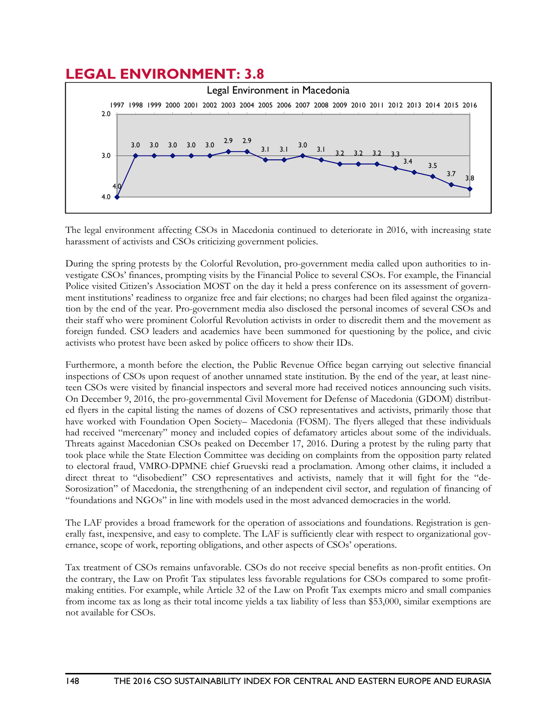#### **LEGAL ENVIRONMENT: 3.8**



The legal environment affecting CSOs in Macedonia continued to deteriorate in 2016, with increasing state harassment of activists and CSOs criticizing government policies.

During the spring protests by the Colorful Revolution, pro-government media called upon authorities to investigate CSOs' finances, prompting visits by the Financial Police to several CSOs. For example, the Financial Police visited Citizen's Association MOST on the day it held a press conference on its assessment of government institutions' readiness to organize free and fair elections; no charges had been filed against the organization by the end of the year. Pro-government media also disclosed the personal incomes of several CSOs and their staff who were prominent Colorful Revolution activists in order to discredit them and the movement as foreign funded. CSO leaders and academics have been summoned for questioning by the police, and civic activists who protest have been asked by police officers to show their IDs.

Furthermore, a month before the election, the Public Revenue Office began carrying out selective financial inspections of CSOs upon request of another unnamed state institution. By the end of the year, at least nineteen CSOs were visited by financial inspectors and several more had received notices announcing such visits. On December 9, 2016, the pro-governmental Civil Movement for Defense of Macedonia (GDOM) distributed flyers in the capital listing the names of dozens of CSO representatives and activists, primarily those that have worked with Foundation Open Society– Macedonia (FOSM). The flyers alleged that these individuals had received "mercenary" money and included copies of defamatory articles about some of the individuals. Threats against Macedonian CSOs peaked on December 17, 2016. During a protest by the ruling party that took place while the State Election Committee was deciding on complaints from the opposition party related to electoral fraud, VMRO-DPMNE chief Gruevski read a proclamation. Among other claims, it included a direct threat to "disobedient" CSO representatives and activists, namely that it will fight for the "de-Sorosization" of Macedonia, the strengthening of an independent civil sector, and regulation of financing of "foundations and NGOs" in line with models used in the most advanced democracies in the world.

The LAF provides a broad framework for the operation of associations and foundations. Registration is generally fast, inexpensive, and easy to complete. The LAF is sufficiently clear with respect to organizational governance, scope of work, reporting obligations, and other aspects of CSOs' operations.

Tax treatment of CSOs remains unfavorable. CSOs do not receive special benefits as non-profit entities. On the contrary, the Law on Profit Tax stipulates less favorable regulations for CSOs compared to some profitmaking entities. For example, while Article 32 of the Law on Profit Tax exempts micro and small companies from income tax as long as their total income yields a tax liability of less than \$53,000, similar exemptions are not available for CSOs.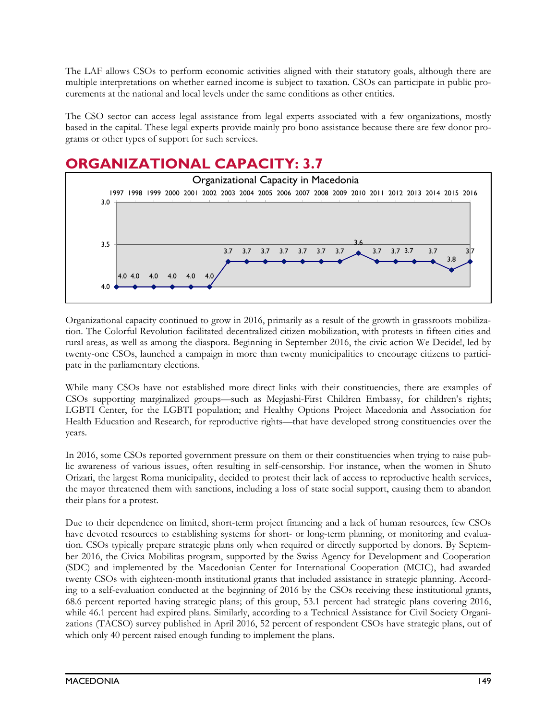The LAF allows CSOs to perform economic activities aligned with their statutory goals, although there are multiple interpretations on whether earned income is subject to taxation. CSOs can participate in public procurements at the national and local levels under the same conditions as other entities.

The CSO sector can access legal assistance from legal experts associated with a few organizations, mostly based in the capital. These legal experts provide mainly pro bono assistance because there are few donor programs or other types of support for such services.

## **ORGANIZATIONAL CAPACITY: 3.7**



Organizational capacity continued to grow in 2016, primarily as a result of the growth in grassroots mobilization. The Colorful Revolution facilitated decentralized citizen mobilization, with protests in fifteen cities and rural areas, as well as among the diaspora. Beginning in September 2016, the civic action We Decide!, led by twenty-one CSOs, launched a campaign in more than twenty municipalities to encourage citizens to participate in the parliamentary elections.

While many CSOs have not established more direct links with their constituencies, there are examples of CSOs supporting marginalized groups—such as Megjashi-First Children Embassy, for children's rights; LGBTI Center, for the LGBTI population; and Healthy Options Project Macedonia and Association for Health Education and Research, for reproductive rights—that have developed strong constituencies over the years.

In 2016, some CSOs reported government pressure on them or their constituencies when trying to raise public awareness of various issues, often resulting in self-censorship. For instance, when the women in Shuto Orizari, the largest Roma municipality, decided to protest their lack of access to reproductive health services, the mayor threatened them with sanctions, including a loss of state social support, causing them to abandon their plans for a protest.

Due to their dependence on limited, short-term project financing and a lack of human resources, few CSOs have devoted resources to establishing systems for short- or long-term planning, or monitoring and evaluation. CSOs typically prepare strategic plans only when required or directly supported by donors. By September 2016, the Civica Mobilitas program, supported by the Swiss Agency for Development and Cooperation (SDC) and implemented by the Macedonian Center for International Cooperation (MCIC), had awarded twenty CSOs with eighteen-month institutional grants that included assistance in strategic planning. According to a self-evaluation conducted at the beginning of 2016 by the CSOs receiving these institutional grants, 68.6 percent reported having strategic plans; of this group, 53.1 percent had strategic plans covering 2016, while 46.1 percent had expired plans. Similarly, according to a Technical Assistance for Civil Society Organizations (TACSO) survey published in April 2016, 52 percent of respondent CSOs have strategic plans, out of which only 40 percent raised enough funding to implement the plans.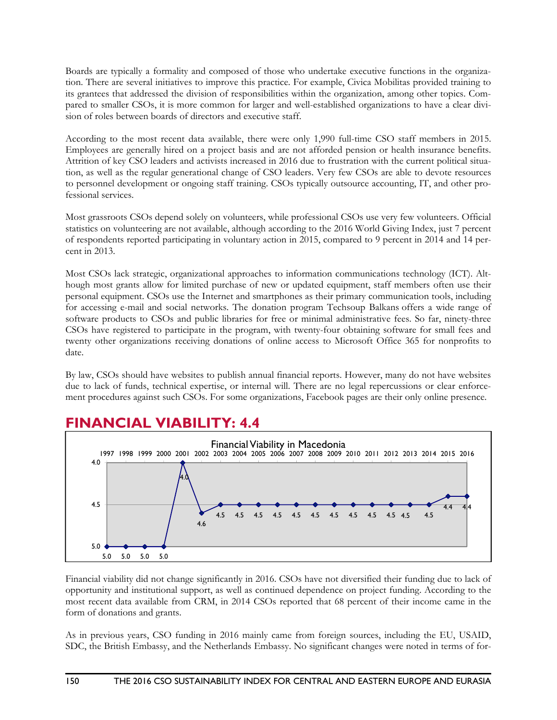Boards are typically a formality and composed of those who undertake executive functions in the organization. There are several initiatives to improve this practice. For example, Civica Mobilitas provided training to its grantees that addressed the division of responsibilities within the organization, among other topics. Compared to smaller CSOs, it is more common for larger and well-established organizations to have a clear division of roles between boards of directors and executive staff.

According to the most recent data available, there were only 1,990 full-time CSO staff members in 2015. Employees are generally hired on a project basis and are not afforded pension or health insurance benefits. Attrition of key CSO leaders and activists increased in 2016 due to frustration with the current political situation, as well as the regular generational change of CSO leaders. Very few CSOs are able to devote resources to personnel development or ongoing staff training. CSOs typically outsource accounting, IT, and other professional services.

Most grassroots CSOs depend solely on volunteers, while professional CSOs use very few volunteers. Official statistics on volunteering are not available, although according to the 2016 World Giving Index, just 7 percent of respondents reported participating in voluntary action in 2015, compared to 9 percent in 2014 and 14 percent in 2013.

Most CSOs lack strategic, organizational approaches to information communications technology (ICT). Although most grants allow for limited purchase of new or updated equipment, staff members often use their personal equipment. CSOs use the Internet and smartphones as their primary communication tools, including for accessing e-mail and social networks. The donation program Techsoup Balkans offers a wide range of software products to CSOs and public libraries for free or minimal administrative fees. So far, ninety-three CSOs have registered to participate in the program, with twenty-four obtaining software for small fees and twenty other organizations receiving donations of online access to Microsoft Office 365 for nonprofits to date.

By law, CSOs should have websites to publish annual financial reports. However, many do not have websites due to lack of funds, technical expertise, or internal will. There are no legal repercussions or clear enforcement procedures against such CSOs. For some organizations, Facebook pages are their only online presence.



### **FINANCIAL VIABILITY: 4.4**

Financial viability did not change significantly in 2016. CSOs have not diversified their funding due to lack of opportunity and institutional support, as well as continued dependence on project funding. According to the most recent data available from CRM, in 2014 CSOs reported that 68 percent of their income came in the form of donations and grants.

As in previous years, CSO funding in 2016 mainly came from foreign sources, including the EU, USAID, SDC, the British Embassy, and the Netherlands Embassy. No significant changes were noted in terms of for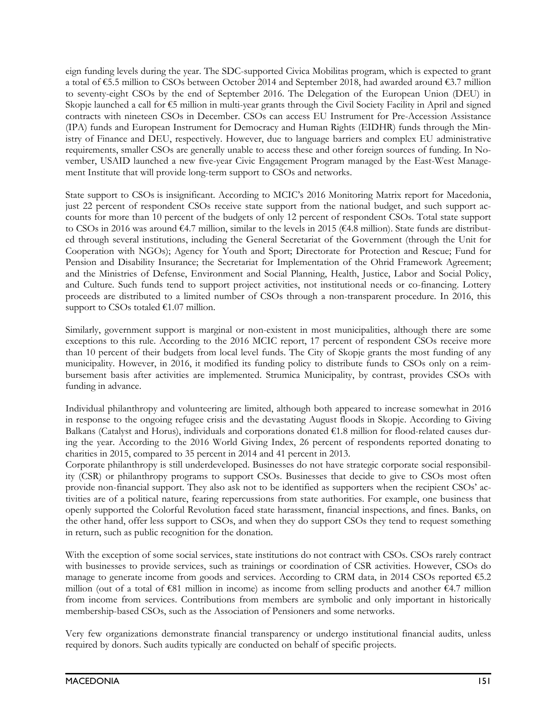eign funding levels during the year. The SDC-supported Civica Mobilitas program, which is expected to grant a total of €5.5 million to CSOs between October 2014 and September 2018, had awarded around €3.7 million to seventy-eight CSOs by the end of September 2016. The Delegation of the European Union (DEU) in Skopje launched a call for €5 million in multi-year grants through the Civil Society Facility in April and signed contracts with nineteen CSOs in December. CSOs can access EU Instrument for Pre-Accession Assistance (IPA) funds and European Instrument for Democracy and Human Rights (EIDHR) funds through the Ministry of Finance and DEU, respectively. However, due to language barriers and complex EU administrative requirements, smaller CSOs are generally unable to access these and other foreign sources of funding. In November, USAID launched a new five-year Civic Engagement Program managed by the East-West Management Institute that will provide long-term support to CSOs and networks.

State support to CSOs is insignificant. According to MCIC's 2016 Monitoring Matrix report for Macedonia, just 22 percent of respondent CSOs receive state support from the national budget, and such support accounts for more than 10 percent of the budgets of only 12 percent of respondent CSOs. Total state support to CSOs in 2016 was around €4.7 million, similar to the levels in 2015 (€4.8 million). State funds are distributed through several institutions, including the General Secretariat of the Government (through the Unit for Cooperation with NGOs); Agency for Youth and Sport; Directorate for Protection and Rescue; Fund for Pension and Disability Insurance; the Secretariat for Implementation of the Ohrid Framework Agreement; and the Ministries of Defense, Environment and Social Planning, Health, Justice, Labor and Social Policy, and Culture. Such funds tend to support project activities, not institutional needs or co-financing. Lottery proceeds are distributed to a limited number of CSOs through a non-transparent procedure. In 2016, this support to CSOs totaled €1.07 million.

Similarly, government support is marginal or non-existent in most municipalities, although there are some exceptions to this rule. According to the 2016 MCIC report, 17 percent of respondent CSOs receive more than 10 percent of their budgets from local level funds. The City of Skopje grants the most funding of any municipality. However, in 2016, it modified its funding policy to distribute funds to CSOs only on a reimbursement basis after activities are implemented. Strumica Municipality, by contrast, provides CSOs with funding in advance.

Individual philanthropy and volunteering are limited, although both appeared to increase somewhat in 2016 in response to the ongoing refugee crisis and the devastating August floods in Skopje. According to Giving Balkans (Catalyst and Horus), individuals and corporations donated €1.8 million for flood-related causes during the year. According to the 2016 World Giving Index, 26 percent of respondents reported donating to charities in 2015, compared to 35 percent in 2014 and 41 percent in 2013.

Corporate philanthropy is still underdeveloped. Businesses do not have strategic corporate social responsibility (CSR) or philanthropy programs to support CSOs. Businesses that decide to give to CSOs most often provide non-financial support. They also ask not to be identified as supporters when the recipient CSOs' activities are of a political nature, fearing repercussions from state authorities. For example, one business that openly supported the Colorful Revolution faced state harassment, financial inspections, and fines. Banks, on the other hand, offer less support to CSOs, and when they do support CSOs they tend to request something in return, such as public recognition for the donation.

With the exception of some social services, state institutions do not contract with CSOs. CSOs rarely contract with businesses to provide services, such as trainings or coordination of CSR activities. However, CSOs do manage to generate income from goods and services. According to CRM data, in 2014 CSOs reported €5.2 million (out of a total of  $\epsilon$ 81 million in income) as income from selling products and another  $\epsilon$ 4.7 million from income from services. Contributions from members are symbolic and only important in historically membership-based CSOs, such as the Association of Pensioners and some networks.

Very few organizations demonstrate financial transparency or undergo institutional financial audits, unless required by donors. Such audits typically are conducted on behalf of specific projects.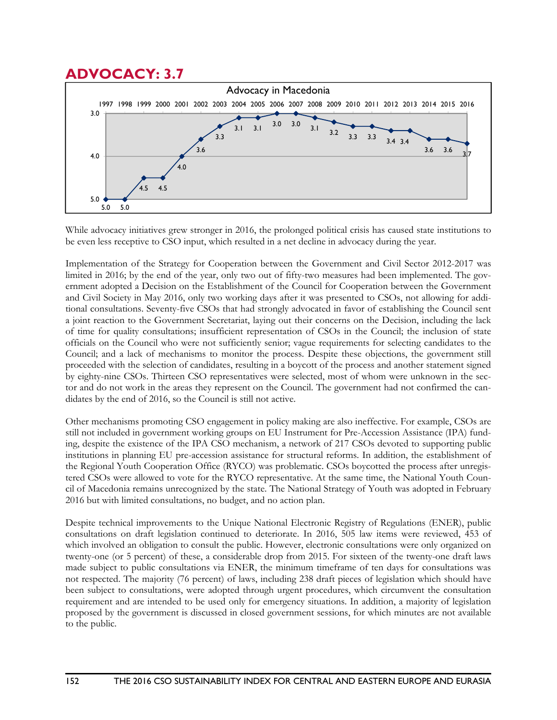### **ADVOCACY: 3.7**



While advocacy initiatives grew stronger in 2016, the prolonged political crisis has caused state institutions to be even less receptive to CSO input, which resulted in a net decline in advocacy during the year.

Implementation of the Strategy for Cooperation between the Government and Civil Sector 2012-2017 was limited in 2016; by the end of the year, only two out of fifty-two measures had been implemented. The government adopted a Decision on the Establishment of the Council for Cooperation between the Government and Civil Society in May 2016, only two working days after it was presented to CSOs, not allowing for additional consultations. Seventy-five CSOs that had strongly advocated in favor of establishing the Council sent a joint reaction to the Government Secretariat, laying out their concerns on the Decision, including the lack of time for quality consultations; insufficient representation of CSOs in the Council; the inclusion of state officials on the Council who were not sufficiently senior; vague requirements for selecting candidates to the Council; and a lack of mechanisms to monitor the process. Despite these objections, the government still proceeded with the selection of candidates, resulting in a boycott of the process and another statement signed by eighty-nine CSOs. Thirteen CSO representatives were selected, most of whom were unknown in the sector and do not work in the areas they represent on the Council. The government had not confirmed the candidates by the end of 2016, so the Council is still not active.

Other mechanisms promoting CSO engagement in policy making are also ineffective. For example, CSOs are still not included in government working groups on EU Instrument for Pre-Accession Assistance (IPA) funding, despite the existence of the IPA CSO mechanism, a network of 217 CSOs devoted to supporting public institutions in planning EU pre-accession assistance for structural reforms. In addition, the establishment of the Regional Youth Cooperation Office (RYCO) was problematic. CSOs boycotted the process after unregistered CSOs were allowed to vote for the RYCO representative. At the same time, the National Youth Council of Macedonia remains unrecognized by the state. The National Strategy of Youth was adopted in February 2016 but with limited consultations, no budget, and no action plan.

Despite technical improvements to the Unique National Electronic Registry of Regulations (ENER), public consultations on draft legislation continued to deteriorate. In 2016, 505 law items were reviewed, 453 of which involved an obligation to consult the public. However, electronic consultations were only organized on twenty-one (or 5 percent) of these, a considerable drop from 2015. For sixteen of the twenty-one draft laws made subject to public consultations via ENER, the minimum timeframe of ten days for consultations was not respected. The majority (76 percent) of laws, including 238 draft pieces of legislation which should have been subject to consultations, were adopted through urgent procedures, which circumvent the consultation requirement and are intended to be used only for emergency situations. In addition, a majority of legislation proposed by the government is discussed in closed government sessions, for which minutes are not available to the public.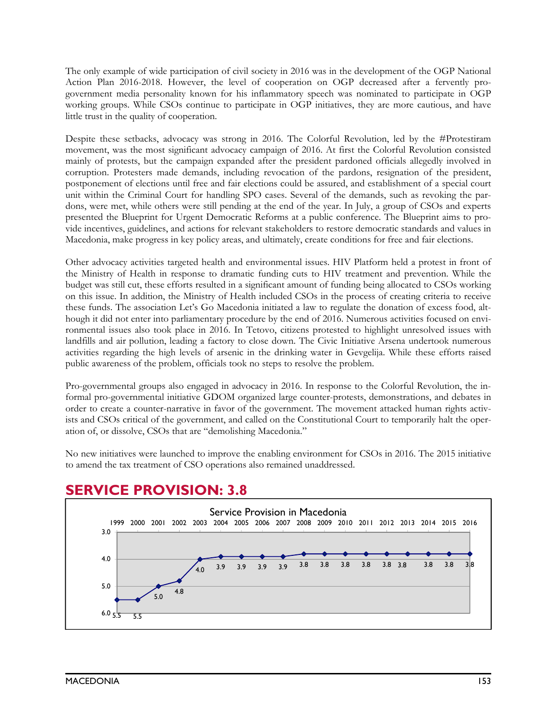The only example of wide participation of civil society in 2016 was in the development of the OGP National Action Plan 2016-2018. However, the level of cooperation on OGP decreased after a fervently progovernment media personality known for his inflammatory speech was nominated to participate in OGP working groups. While CSOs continue to participate in OGP initiatives, they are more cautious, and have little trust in the quality of cooperation.

Despite these setbacks, advocacy was strong in 2016. The Colorful Revolution, led by the #Protestiram movement, was the most significant advocacy campaign of 2016. At first the Colorful Revolution consisted mainly of protests, but the campaign expanded after the president pardoned officials allegedly involved in corruption. Protesters made demands, including revocation of the pardons, resignation of the president, postponement of elections until free and fair elections could be assured, and establishment of a special court unit within the Criminal Court for handling SPO cases. Several of the demands, such as revoking the pardons, were met, while others were still pending at the end of the year. In July, a group of CSOs and experts presented the Blueprint for Urgent Democratic Reforms at a public conference. The Blueprint aims to provide incentives, guidelines, and actions for relevant stakeholders to restore democratic standards and values in Macedonia, make progress in key policy areas, and ultimately, create conditions for free and fair elections.

Other advocacy activities targeted health and environmental issues. HIV Platform held a protest in front of the Ministry of Health in response to dramatic funding cuts to HIV treatment and prevention. While the budget was still cut, these efforts resulted in a significant amount of funding being allocated to CSOs working on this issue. In addition, the Ministry of Health included CSOs in the process of creating criteria to receive these funds. The association Let's Go Macedonia initiated a law to regulate the donation of excess food, although it did not enter into parliamentary procedure by the end of 2016. Numerous activities focused on environmental issues also took place in 2016. In Tetovo, citizens protested to highlight unresolved issues with landfills and air pollution, leading a factory to close down. The Civic Initiative Arsena undertook numerous activities regarding the high levels of arsenic in the drinking water in Gevgelija. While these efforts raised public awareness of the problem, officials took no steps to resolve the problem.

Pro-governmental groups also engaged in advocacy in 2016. In response to the Colorful Revolution, the informal pro-governmental initiative GDOM organized large counter-protests, demonstrations, and debates in order to create a counter-narrative in favor of the government. The movement attacked human rights activists and CSOs critical of the government, and called on the Constitutional Court to temporarily halt the operation of, or dissolve, CSOs that are "demolishing Macedonia."

No new initiatives were launched to improve the enabling environment for CSOs in 2016. The 2015 initiative to amend the tax treatment of CSO operations also remained unaddressed.

# **SERVICE PROVISION: 3.8**

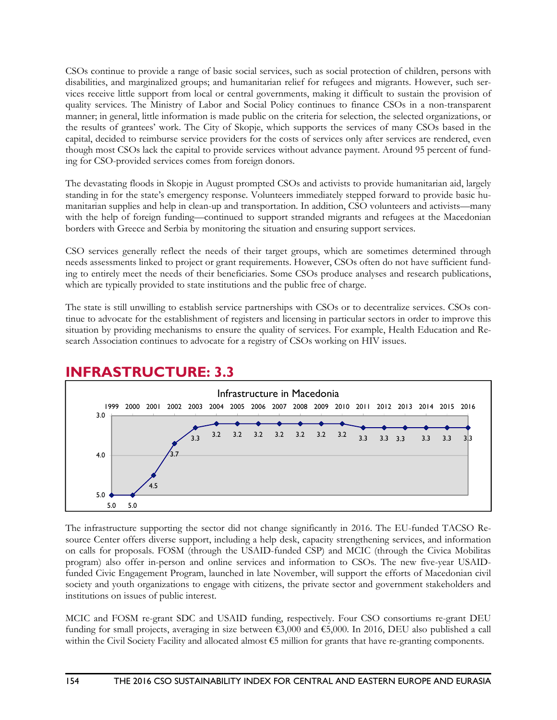CSOs continue to provide a range of basic social services, such as social protection of children, persons with disabilities, and marginalized groups; and humanitarian relief for refugees and migrants. However, such services receive little support from local or central governments, making it difficult to sustain the provision of quality services. The Ministry of Labor and Social Policy continues to finance CSOs in a non-transparent manner; in general, little information is made public on the criteria for selection, the selected organizations, or the results of grantees' work. The City of Skopje, which supports the services of many CSOs based in the capital, decided to reimburse service providers for the costs of services only after services are rendered, even though most CSOs lack the capital to provide services without advance payment. Around 95 percent of funding for CSO-provided services comes from foreign donors.

The devastating floods in Skopje in August prompted CSOs and activists to provide humanitarian aid, largely standing in for the state's emergency response. Volunteers immediately stepped forward to provide basic humanitarian supplies and help in clean-up and transportation. In addition, CSO volunteers and activists—many with the help of foreign funding—continued to support stranded migrants and refugees at the Macedonian borders with Greece and Serbia by monitoring the situation and ensuring support services.

CSO services generally reflect the needs of their target groups, which are sometimes determined through needs assessments linked to project or grant requirements. However, CSOs often do not have sufficient funding to entirely meet the needs of their beneficiaries. Some CSOs produce analyses and research publications, which are typically provided to state institutions and the public free of charge.

The state is still unwilling to establish service partnerships with CSOs or to decentralize services. CSOs continue to advocate for the establishment of registers and licensing in particular sectors in order to improve this situation by providing mechanisms to ensure the quality of services. For example, Health Education and Research Association continues to advocate for a registry of CSOs working on HIV issues.



#### **INFRASTRUCTURE: 3.3**

The infrastructure supporting the sector did not change significantly in 2016. The EU-funded TACSO Resource Center offers diverse support, including a help desk, capacity strengthening services, and information on calls for proposals. FOSM (through the USAID-funded CSP) and MCIC (through the Civica Mobilitas program) also offer in-person and online services and information to CSOs. The new five-year USAIDfunded Civic Engagement Program, launched in late November, will support the efforts of Macedonian civil society and youth organizations to engage with citizens, the private sector and government stakeholders and institutions on issues of public interest.

MCIC and FOSM re-grant SDC and USAID funding, respectively. Four CSO consortiums re-grant DEU funding for small projects, averaging in size between €3,000 and €5,000. In 2016, DEU also published a call within the Civil Society Facility and allocated almost €5 million for grants that have re-granting components.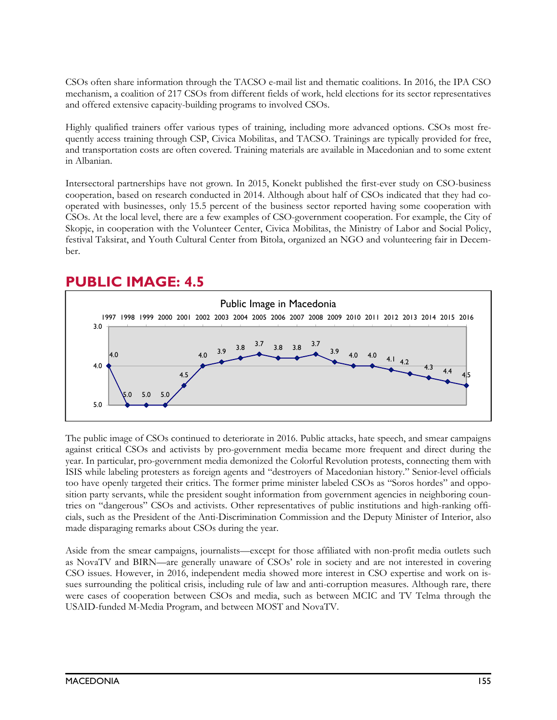CSOs often share information through the TACSO e-mail list and thematic coalitions. In 2016, the IPA CSO mechanism, a coalition of 217 CSOs from different fields of work, held elections for its sector representatives and offered extensive capacity-building programs to involved CSOs.

Highly qualified trainers offer various types of training, including more advanced options. CSOs most frequently access training through CSP, Civica Mobilitas, and TACSO. Trainings are typically provided for free, and transportation costs are often covered. Training materials are available in Macedonian and to some extent in Albanian.

Intersectoral partnerships have not grown. In 2015, Konekt published the first-ever study on CSO-business cooperation, based on research conducted in 2014. Although about half of CSOs indicated that they had cooperated with businesses, only 15.5 percent of the business sector reported having some cooperation with CSOs. At the local level, there are a few examples of CSO-government cooperation. For example, the City of Skopje, in cooperation with the Volunteer Center, Civica Mobilitas, the Ministry of Labor and Social Policy, festival Taksirat, and Youth Cultural Center from Bitola, organized an NGO and volunteering fair in December.

#### **PUBLIC IMAGE: 4.5**



The public image of CSOs continued to deteriorate in 2016. Public attacks, hate speech, and smear campaigns against critical CSOs and activists by pro-government media became more frequent and direct during the year. In particular, pro-government media demonized the Colorful Revolution protests, connecting them with ISIS while labeling protesters as foreign agents and "destroyers of Macedonian history." Senior-level officials too have openly targeted their critics. The former prime minister labeled CSOs as "Soros hordes" and opposition party servants, while the president sought information from government agencies in neighboring countries on "dangerous" CSOs and activists. Other representatives of public institutions and high-ranking officials, such as the President of the Anti-Discrimination Commission and the Deputy Minister of Interior, also made disparaging remarks about CSOs during the year.

Aside from the smear campaigns, journalists—except for those affiliated with non-profit media outlets such as NovaTV and BIRN—are generally unaware of CSOs' role in society and are not interested in covering CSO issues. However, in 2016, independent media showed more interest in CSO expertise and work on issues surrounding the political crisis, including rule of law and anti-corruption measures. Although rare, there were cases of cooperation between CSOs and media, such as between MCIC and TV Telma through the USAID-funded M-Media Program, and between MOST and NovaTV.